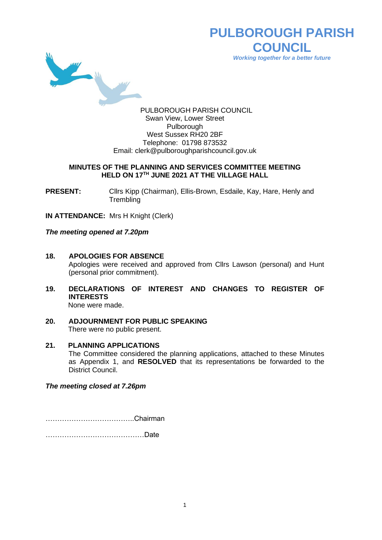

# **PULBOROUGH PARISH COUNCIL** *Working together for a better future*

PULBOROUGH PARISH COUNCIL Swan View, Lower Street Pulborough West Sussex RH20 2BF Telephone: 01798 873532 Email: [clerk@pulboroughparishcouncil.gov.uk](mailto:clerk@pulboroughparishcouncil.gov.uk)

#### **MINUTES OF THE PLANNING AND SERVICES COMMITTEE MEETING HELD ON 17TH JUNE 2021 AT THE VILLAGE HALL**

**PRESENT:** Clirs Kipp (Chairman), Ellis-Brown, Esdaile, Kay, Hare, Henly and **Trembling** 

**IN ATTENDANCE:** Mrs H Knight (Clerk)

*The meeting opened at 7.20pm*

- **18. APOLOGIES FOR ABSENCE** Apologies were received and approved from Cllrs Lawson (personal) and Hunt (personal prior commitment).
- **19. DECLARATIONS OF INTEREST AND CHANGES TO REGISTER OF INTERESTS** None were made.
- **20. ADJOURNMENT FOR PUBLIC SPEAKING** There were no public present.
- **21. PLANNING APPLICATIONS** The Committee considered the planning applications, attached to these Minutes as Appendix 1, and **RESOLVED** that its representations be forwarded to the District Council.

*The meeting closed at 7.26pm*

………………………………..Chairman

……………………………………Date